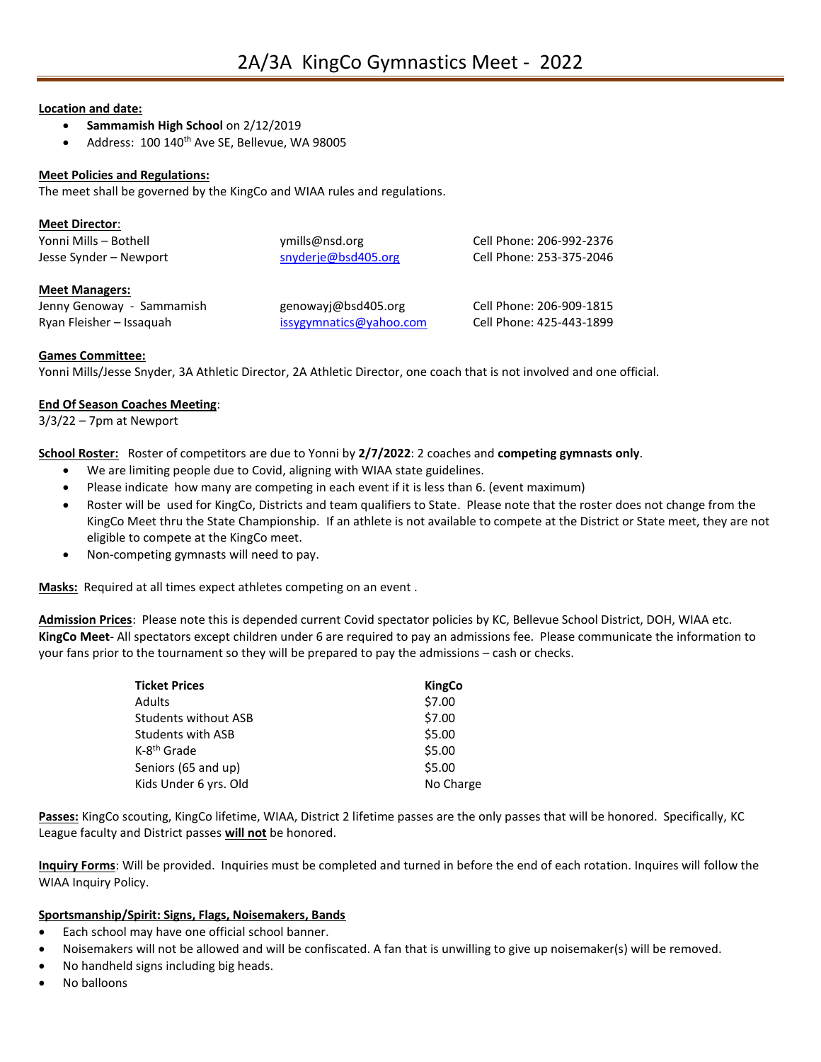## **Location and date:**

- **Sammamish High School** on 2/12/2019
- Address: 100 140<sup>th</sup> Ave SE, Bellevue, WA 98005

# **Meet Policies and Regulations:**

The meet shall be governed by the KingCo and WIAA rules and regulations.

| <b>Meet Director:</b>  |                     |                          |
|------------------------|---------------------|--------------------------|
| Yonni Mills - Bothell  | ymills@nsd.org      | Cell Phone: 206-992-2376 |
| Jesse Synder - Newport | snyderje@bsd405.org | Cell Phone: 253-375-2046 |
| <b>Meet Managers:</b>  |                     |                          |

| Jenny Genoway - Sammamish | genowayj@bsd405.org     | Cell Phone: 206-909-1815 |
|---------------------------|-------------------------|--------------------------|
| Ryan Fleisher – Issaguah  | issygymnatics@yahoo.com | Cell Phone: 425-443-1899 |

#### **Games Committee:**

Yonni Mills/Jesse Snyder, 3A Athletic Director, 2A Athletic Director, one coach that is not involved and one official.

## **End Of Season Coaches Meeting**:

3/3/22 – 7pm at Newport

**School Roster:** Roster of competitors are due to Yonni by **2/7/2022**: 2 coaches and **competing gymnasts only**.

- We are limiting people due to Covid, aligning with WIAA state guidelines.
- Please indicate how many are competing in each event if it is less than 6. (event maximum)
- Roster will be used for KingCo, Districts and team qualifiers to State. Please note that the roster does not change from the KingCo Meet thru the State Championship. If an athlete is not available to compete at the District or State meet, they are not eligible to compete at the KingCo meet.
- Non-competing gymnasts will need to pay.

**Masks:** Required at all times expect athletes competing on an event .

**Admission Prices**: Please note this is depended current Covid spectator policies by KC, Bellevue School District, DOH, WIAA etc. **KingCo Meet**- All spectators except children under 6 are required to pay an admissions fee. Please communicate the information to your fans prior to the tournament so they will be prepared to pay the admissions – cash or checks.

| <b>Ticket Prices</b>        | <b>KingCo</b> |
|-----------------------------|---------------|
| Adults                      | \$7.00        |
| <b>Students without ASB</b> | \$7.00        |
| <b>Students with ASB</b>    | \$5.00        |
| K-8 <sup>th</sup> Grade     | \$5.00        |
| Seniors (65 and up)         | \$5.00        |
| Kids Under 6 yrs. Old       | No Charge     |

**Passes:** KingCo scouting, KingCo lifetime, WIAA, District 2 lifetime passes are the only passes that will be honored. Specifically, KC League faculty and District passes **will not** be honored.

**Inquiry Forms**: Will be provided. Inquiries must be completed and turned in before the end of each rotation. Inquires will follow the WIAA Inquiry Policy.

# **Sportsmanship/Spirit: Signs, Flags, Noisemakers, Bands**

- Each school may have one official school banner.
- Noisemakers will not be allowed and will be confiscated. A fan that is unwilling to give up noisemaker(s) will be removed.
- No handheld signs including big heads.
- No balloons